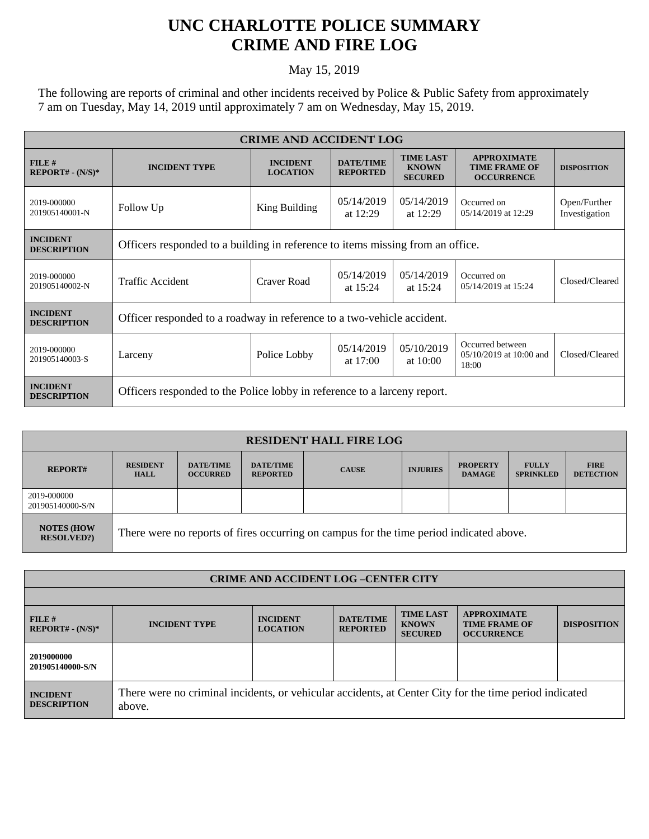## **UNC CHARLOTTE POLICE SUMMARY CRIME AND FIRE LOG**

## May 15, 2019

The following are reports of criminal and other incidents received by Police & Public Safety from approximately 7 am on Tuesday, May 14, 2019 until approximately 7 am on Wednesday, May 15, 2019.

| <b>CRIME AND ACCIDENT LOG</b>         |                                                                                |                                    |                                     |                                                    |                                                                 |                               |  |  |
|---------------------------------------|--------------------------------------------------------------------------------|------------------------------------|-------------------------------------|----------------------------------------------------|-----------------------------------------------------------------|-------------------------------|--|--|
| FILE#<br>$REPORT# - (N/S)*$           | <b>INCIDENT TYPE</b>                                                           | <b>INCIDENT</b><br><b>LOCATION</b> | <b>DATE/TIME</b><br><b>REPORTED</b> | <b>TIME LAST</b><br><b>KNOWN</b><br><b>SECURED</b> | <b>APPROXIMATE</b><br><b>TIME FRAME OF</b><br><b>OCCURRENCE</b> | <b>DISPOSITION</b>            |  |  |
| 2019-000000<br>201905140001-N         | Follow Up                                                                      | King Building                      | 05/14/2019<br>at $12:29$            | 05/14/2019<br>at $12:29$                           | Occurred on<br>05/14/2019 at 12:29                              | Open/Further<br>Investigation |  |  |
| <b>INCIDENT</b><br><b>DESCRIPTION</b> | Officers responded to a building in reference to items missing from an office. |                                    |                                     |                                                    |                                                                 |                               |  |  |
| 2019-000000<br>201905140002-N         | Traffic Accident                                                               | Craver Road                        | 05/14/2019<br>at $15:24$            | 05/14/2019<br>at $15:24$                           | Occurred on<br>05/14/2019 at 15:24                              | Closed/Cleared                |  |  |
| <b>INCIDENT</b><br><b>DESCRIPTION</b> | Officer responded to a roadway in reference to a two-vehicle accident.         |                                    |                                     |                                                    |                                                                 |                               |  |  |
| 2019-000000<br>201905140003-S         | Larceny                                                                        | Police Lobby                       | 05/14/2019<br>at 17:00              | 05/10/2019<br>at 10:00                             | Occurred between<br>$0.5/10/2019$ at 10:00 and<br>18:00         | Closed/Cleared                |  |  |
| <b>INCIDENT</b><br><b>DESCRIPTION</b> | Officers responded to the Police lobby in reference to a larceny report.       |                                    |                                     |                                                    |                                                                 |                               |  |  |

| <b>RESIDENT HALL FIRE LOG</b>         |                                                                                         |                                     |                                     |              |                 |                                  |                                  |                                 |
|---------------------------------------|-----------------------------------------------------------------------------------------|-------------------------------------|-------------------------------------|--------------|-----------------|----------------------------------|----------------------------------|---------------------------------|
| <b>REPORT#</b>                        | <b>RESIDENT</b><br><b>HALL</b>                                                          | <b>DATE/TIME</b><br><b>OCCURRED</b> | <b>DATE/TIME</b><br><b>REPORTED</b> | <b>CAUSE</b> | <b>INJURIES</b> | <b>PROPERTY</b><br><b>DAMAGE</b> | <b>FULLY</b><br><b>SPRINKLED</b> | <b>FIRE</b><br><b>DETECTION</b> |
| 2019-000000<br>201905140000-S/N       |                                                                                         |                                     |                                     |              |                 |                                  |                                  |                                 |
| <b>NOTES (HOW</b><br><b>RESOLVED?</b> | There were no reports of fires occurring on campus for the time period indicated above. |                                     |                                     |              |                 |                                  |                                  |                                 |

| <b>CRIME AND ACCIDENT LOG-CENTER CITY</b> |                                                                                                                  |                                    |                                     |                                                    |                                                                 |                    |  |  |
|-------------------------------------------|------------------------------------------------------------------------------------------------------------------|------------------------------------|-------------------------------------|----------------------------------------------------|-----------------------------------------------------------------|--------------------|--|--|
|                                           |                                                                                                                  |                                    |                                     |                                                    |                                                                 |                    |  |  |
| FILE#<br>$REPORT# - (N/S)*$               | <b>INCIDENT TYPE</b>                                                                                             | <b>INCIDENT</b><br><b>LOCATION</b> | <b>DATE/TIME</b><br><b>REPORTED</b> | <b>TIME LAST</b><br><b>KNOWN</b><br><b>SECURED</b> | <b>APPROXIMATE</b><br><b>TIME FRAME OF</b><br><b>OCCURRENCE</b> | <b>DISPOSITION</b> |  |  |
| 2019000000<br>201905140000-S/N            |                                                                                                                  |                                    |                                     |                                                    |                                                                 |                    |  |  |
| <b>INCIDENT</b><br><b>DESCRIPTION</b>     | There were no criminal incidents, or vehicular accidents, at Center City for the time period indicated<br>above. |                                    |                                     |                                                    |                                                                 |                    |  |  |